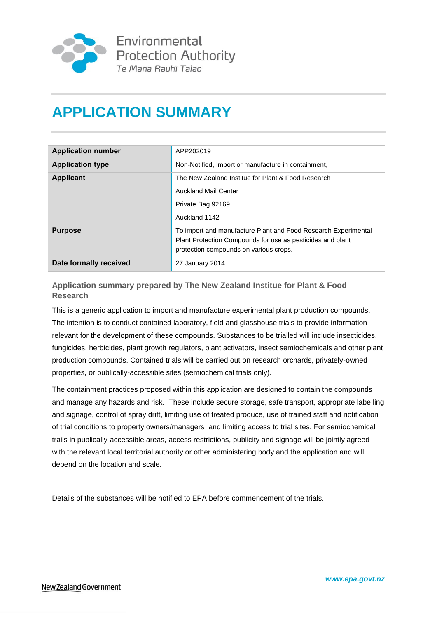

## **APPLICATION SUMMARY**

| <b>Application number</b> | APP202019                                                                                                                                                              |
|---------------------------|------------------------------------------------------------------------------------------------------------------------------------------------------------------------|
| <b>Application type</b>   | Non-Notified, Import or manufacture in containment,                                                                                                                    |
| <b>Applicant</b>          | The New Zealand Institue for Plant & Food Research                                                                                                                     |
|                           | <b>Auckland Mail Center</b>                                                                                                                                            |
|                           | Private Bag 92169                                                                                                                                                      |
|                           | Auckland 1142                                                                                                                                                          |
| <b>Purpose</b>            | To import and manufacture Plant and Food Research Experimental<br>Plant Protection Compounds for use as pesticides and plant<br>protection compounds on various crops. |
| Date formally received    | 27 January 2014                                                                                                                                                        |

**Application summary prepared by The New Zealand Institue for Plant & Food Research**

This is a generic application to import and manufacture experimental plant production compounds. The intention is to conduct contained laboratory, field and glasshouse trials to provide information relevant for the development of these compounds. Substances to be trialled will include insecticides, fungicides, herbicides, plant growth regulators, plant activators, insect semiochemicals and other plant production compounds. Contained trials will be carried out on research orchards, privately-owned properties, or publically-accessible sites (semiochemical trials only).

The containment practices proposed within this application are designed to contain the compounds and manage any hazards and risk. These include secure storage, safe transport, appropriate labelling and signage, control of spray drift, limiting use of treated produce, use of trained staff and notification of trial conditions to property owners/managers and limiting access to trial sites. For semiochemical trails in publically-accessible areas, access restrictions, publicity and signage will be jointly agreed with the relevant local territorial authority or other administering body and the application and will depend on the location and scale.

Details of the substances will be notified to EPA before commencement of the trials.